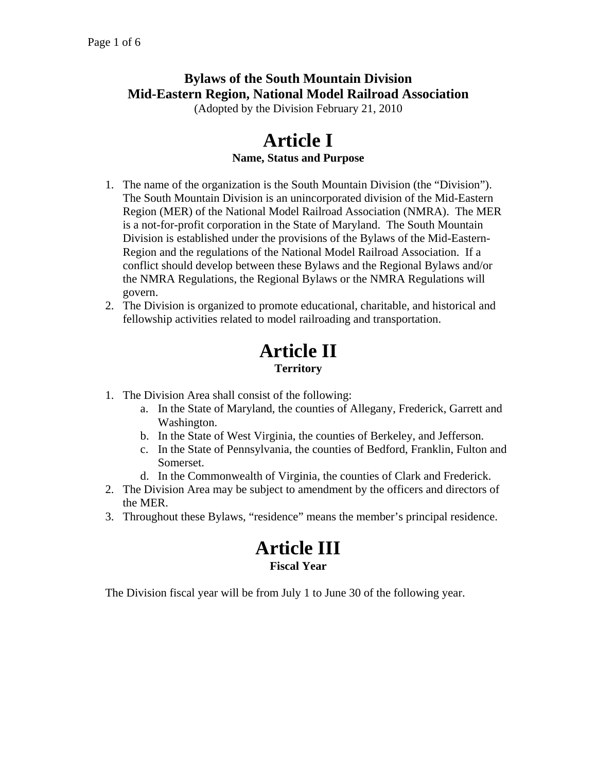## **Bylaws of the South Mountain Division Mid-Eastern Region, National Model Railroad Association**

(Adopted by the Division February 21, 2010

#### **Article I Name, Status and Purpose**

- 1. The name of the organization is the South Mountain Division (the "Division"). The South Mountain Division is an unincorporated division of the Mid-Eastern Region (MER) of the National Model Railroad Association (NMRA). The MER is a not-for-profit corporation in the State of Maryland. The South Mountain Division is established under the provisions of the Bylaws of the Mid-Eastern-Region and the regulations of the National Model Railroad Association. If a conflict should develop between these Bylaws and the Regional Bylaws and/or the NMRA Regulations, the Regional Bylaws or the NMRA Regulations will govern.
- 2. The Division is organized to promote educational, charitable, and historical and fellowship activities related to model railroading and transportation.

# **Article II Territory**

- 1. The Division Area shall consist of the following:
	- a. In the State of Maryland, the counties of Allegany, Frederick, Garrett and Washington.
	- b. In the State of West Virginia, the counties of Berkeley, and Jefferson.
	- c. In the State of Pennsylvania, the counties of Bedford, Franklin, Fulton and Somerset.
	- d. In the Commonwealth of Virginia, the counties of Clark and Frederick.
- 2. The Division Area may be subject to amendment by the officers and directors of the MER.
- 3. Throughout these Bylaws, "residence" means the member's principal residence.

### **Article III Fiscal Year**

The Division fiscal year will be from July 1 to June 30 of the following year.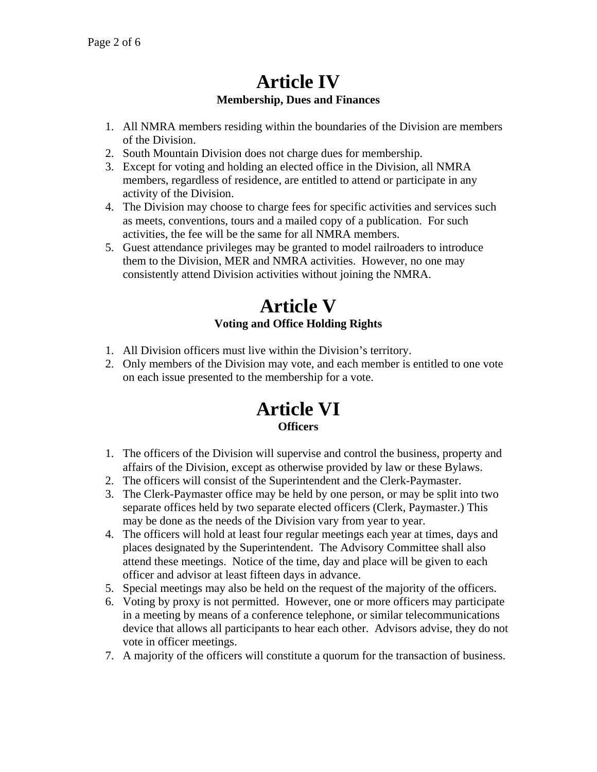## **Article IV Membership, Dues and Finances**

- 1. All NMRA members residing within the boundaries of the Division are members of the Division.
- 2. South Mountain Division does not charge dues for membership.
- 3. Except for voting and holding an elected office in the Division, all NMRA members, regardless of residence, are entitled to attend or participate in any activity of the Division.
- 4. The Division may choose to charge fees for specific activities and services such as meets, conventions, tours and a mailed copy of a publication. For such activities, the fee will be the same for all NMRA members.
- 5. Guest attendance privileges may be granted to model railroaders to introduce them to the Division, MER and NMRA activities. However, no one may consistently attend Division activities without joining the NMRA.

## **Article V Voting and Office Holding Rights**

- 1. All Division officers must live within the Division's territory.
- 2. Only members of the Division may vote, and each member is entitled to one vote on each issue presented to the membership for a vote.

#### **Article VI Officers**

- 1. The officers of the Division will supervise and control the business, property and affairs of the Division, except as otherwise provided by law or these Bylaws.
- 2. The officers will consist of the Superintendent and the Clerk-Paymaster.
- 3. The Clerk-Paymaster office may be held by one person, or may be split into two separate offices held by two separate elected officers (Clerk, Paymaster.) This may be done as the needs of the Division vary from year to year.
- 4. The officers will hold at least four regular meetings each year at times, days and places designated by the Superintendent. The Advisory Committee shall also attend these meetings. Notice of the time, day and place will be given to each officer and advisor at least fifteen days in advance.
- 5. Special meetings may also be held on the request of the majority of the officers.
- 6. Voting by proxy is not permitted. However, one or more officers may participate in a meeting by means of a conference telephone, or similar telecommunications device that allows all participants to hear each other. Advisors advise, they do not vote in officer meetings.
- 7. A majority of the officers will constitute a quorum for the transaction of business.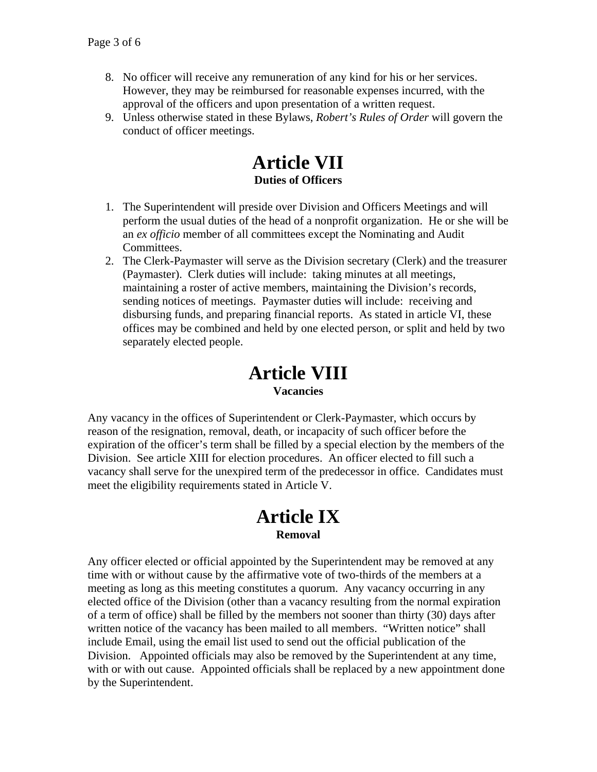- 8. No officer will receive any remuneration of any kind for his or her services. However, they may be reimbursed for reasonable expenses incurred, with the approval of the officers and upon presentation of a written request.
- 9. Unless otherwise stated in these Bylaws, *Robert's Rules of Order* will govern the conduct of officer meetings.

#### **Article VII Duties of Officers**

- 1. The Superintendent will preside over Division and Officers Meetings and will perform the usual duties of the head of a nonprofit organization. He or she will be an *ex officio* member of all committees except the Nominating and Audit Committees.
- 2. The Clerk-Paymaster will serve as the Division secretary (Clerk) and the treasurer (Paymaster). Clerk duties will include: taking minutes at all meetings, maintaining a roster of active members, maintaining the Division's records, sending notices of meetings. Paymaster duties will include: receiving and disbursing funds, and preparing financial reports. As stated in article VI, these offices may be combined and held by one elected person, or split and held by two separately elected people.

#### **Article VIII Vacancies**

Any vacancy in the offices of Superintendent or Clerk-Paymaster, which occurs by reason of the resignation, removal, death, or incapacity of such officer before the expiration of the officer's term shall be filled by a special election by the members of the Division. See article XIII for election procedures. An officer elected to fill such a vacancy shall serve for the unexpired term of the predecessor in office. Candidates must meet the eligibility requirements stated in Article V.

#### **Article IX Removal**

Any officer elected or official appointed by the Superintendent may be removed at any time with or without cause by the affirmative vote of two-thirds of the members at a meeting as long as this meeting constitutes a quorum. Any vacancy occurring in any elected office of the Division (other than a vacancy resulting from the normal expiration of a term of office) shall be filled by the members not sooner than thirty (30) days after written notice of the vacancy has been mailed to all members. "Written notice" shall include Email, using the email list used to send out the official publication of the Division. Appointed officials may also be removed by the Superintendent at any time, with or with out cause. Appointed officials shall be replaced by a new appointment done by the Superintendent.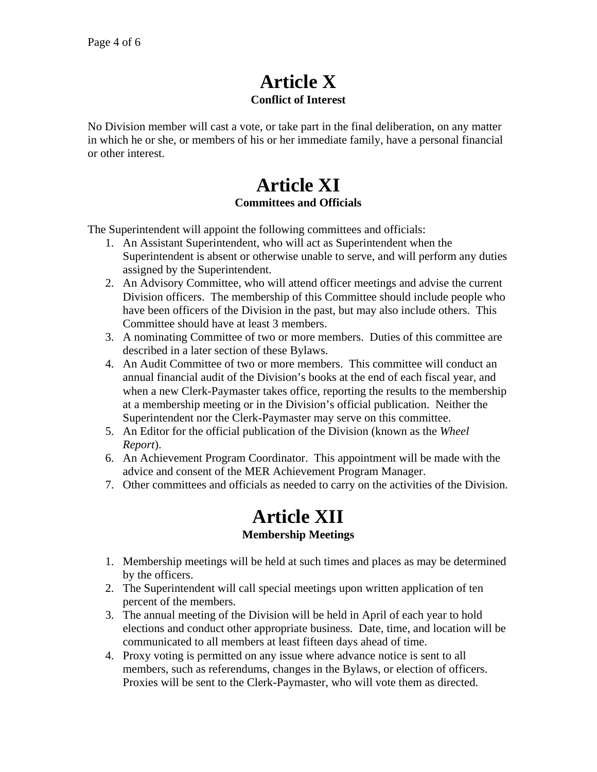## **Article X Conflict of Interest**

No Division member will cast a vote, or take part in the final deliberation, on any matter in which he or she, or members of his or her immediate family, have a personal financial or other interest.

## **Article XI Committees and Officials**

The Superintendent will appoint the following committees and officials:

- 1. An Assistant Superintendent, who will act as Superintendent when the Superintendent is absent or otherwise unable to serve, and will perform any duties assigned by the Superintendent.
- 2. An Advisory Committee, who will attend officer meetings and advise the current Division officers. The membership of this Committee should include people who have been officers of the Division in the past, but may also include others. This Committee should have at least 3 members.
- 3. A nominating Committee of two or more members. Duties of this committee are described in a later section of these Bylaws.
- 4. An Audit Committee of two or more members. This committee will conduct an annual financial audit of the Division's books at the end of each fiscal year, and when a new Clerk-Paymaster takes office, reporting the results to the membership at a membership meeting or in the Division's official publication. Neither the Superintendent nor the Clerk-Paymaster may serve on this committee.
- 5. An Editor for the official publication of the Division (known as the *Wheel Report*).
- 6. An Achievement Program Coordinator. This appointment will be made with the advice and consent of the MER Achievement Program Manager.
- 7. Other committees and officials as needed to carry on the activities of the Division.

### **Article XII Membership Meetings**

- 1. Membership meetings will be held at such times and places as may be determined by the officers.
- 2. The Superintendent will call special meetings upon written application of ten percent of the members.
- 3. The annual meeting of the Division will be held in April of each year to hold elections and conduct other appropriate business. Date, time, and location will be communicated to all members at least fifteen days ahead of time.
- 4. Proxy voting is permitted on any issue where advance notice is sent to all members, such as referendums, changes in the Bylaws, or election of officers. Proxies will be sent to the Clerk-Paymaster, who will vote them as directed.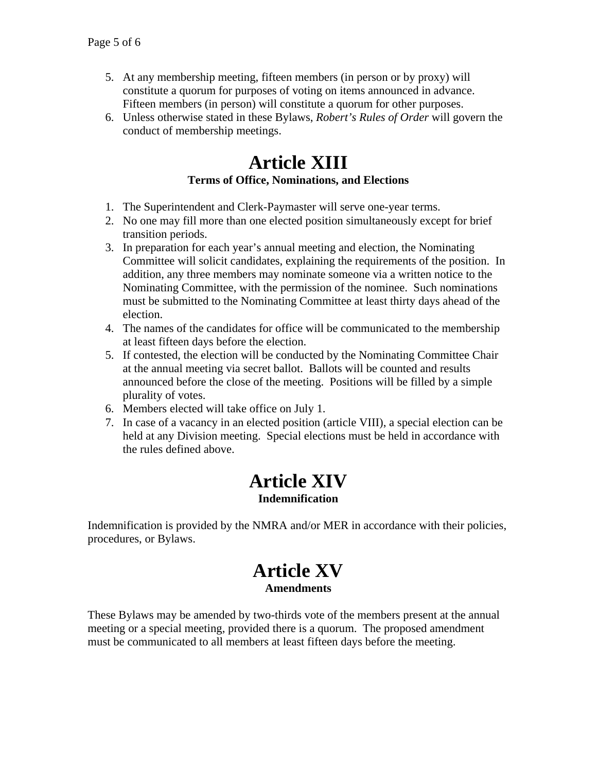- 5. At any membership meeting, fifteen members (in person or by proxy) will constitute a quorum for purposes of voting on items announced in advance. Fifteen members (in person) will constitute a quorum for other purposes.
- 6. Unless otherwise stated in these Bylaws, *Robert's Rules of Order* will govern the conduct of membership meetings.

## **Article XIII Terms of Office, Nominations, and Elections**

- 1. The Superintendent and Clerk-Paymaster will serve one-year terms.
- 2. No one may fill more than one elected position simultaneously except for brief transition periods.
- 3. In preparation for each year's annual meeting and election, the Nominating Committee will solicit candidates, explaining the requirements of the position. In addition, any three members may nominate someone via a written notice to the Nominating Committee, with the permission of the nominee. Such nominations must be submitted to the Nominating Committee at least thirty days ahead of the election.
- 4. The names of the candidates for office will be communicated to the membership at least fifteen days before the election.
- 5. If contested, the election will be conducted by the Nominating Committee Chair at the annual meeting via secret ballot. Ballots will be counted and results announced before the close of the meeting. Positions will be filled by a simple plurality of votes.
- 6. Members elected will take office on July 1.
- 7. In case of a vacancy in an elected position (article VIII), a special election can be held at any Division meeting. Special elections must be held in accordance with the rules defined above.

### **Article XIV Indemnification**

Indemnification is provided by the NMRA and/or MER in accordance with their policies, procedures, or Bylaws.

### **Article XV Amendments**

These Bylaws may be amended by two-thirds vote of the members present at the annual meeting or a special meeting, provided there is a quorum. The proposed amendment must be communicated to all members at least fifteen days before the meeting.